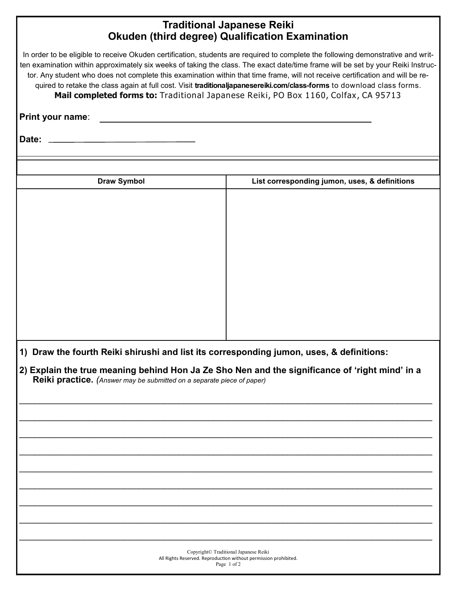## **Traditional Japanese Reiki Okuden (third degree) Qualification Examination**

In order to be eligible to receive Okuden certification, students are required to complete the following demonstrative and written examination within approximately six weeks of taking the class. The exact date/time frame will be set by your Reiki Instructor. Any student who does not complete this examination within that time frame, will not receive certification and will be required to retake the class again at full cost. Visit **traditionaljapanesereiki.com/class-forms** to download class forms. **Mail completed forms to:** Traditional Japanese Reiki, PO Box 1160, Colfax, CA 95713

**Print your name**:

**Date:**

| <b>Draw Symbol</b> |                                                                        | List corresponding jumon, uses, & definitions                                                                                                                                              |
|--------------------|------------------------------------------------------------------------|--------------------------------------------------------------------------------------------------------------------------------------------------------------------------------------------|
|                    |                                                                        |                                                                                                                                                                                            |
|                    |                                                                        |                                                                                                                                                                                            |
|                    |                                                                        |                                                                                                                                                                                            |
|                    |                                                                        |                                                                                                                                                                                            |
|                    |                                                                        |                                                                                                                                                                                            |
|                    |                                                                        |                                                                                                                                                                                            |
|                    |                                                                        |                                                                                                                                                                                            |
|                    |                                                                        |                                                                                                                                                                                            |
|                    |                                                                        |                                                                                                                                                                                            |
|                    |                                                                        |                                                                                                                                                                                            |
|                    |                                                                        |                                                                                                                                                                                            |
|                    |                                                                        |                                                                                                                                                                                            |
|                    |                                                                        | 1) Draw the fourth Reiki shirushi and list its corresponding jumon, uses, & definitions:<br>2) Explain the true meaning behind Hon Ja Ze Sho Nen and the significance of 'right mind' in a |
|                    | Reiki practice. (Answer may be submitted on a separate piece of paper) |                                                                                                                                                                                            |
|                    |                                                                        |                                                                                                                                                                                            |
|                    |                                                                        |                                                                                                                                                                                            |
|                    |                                                                        |                                                                                                                                                                                            |
|                    |                                                                        |                                                                                                                                                                                            |
|                    |                                                                        |                                                                                                                                                                                            |
|                    |                                                                        |                                                                                                                                                                                            |
|                    |                                                                        |                                                                                                                                                                                            |
|                    |                                                                        |                                                                                                                                                                                            |
|                    |                                                                        |                                                                                                                                                                                            |
|                    |                                                                        |                                                                                                                                                                                            |
|                    |                                                                        |                                                                                                                                                                                            |